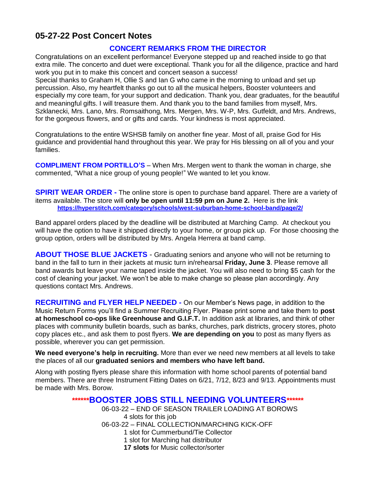## **05-27-22 Post Concert Notes**

#### **CONCERT REMARKS FROM THE DIRECTOR**

Congratulations on an excellent performance! Everyone stepped up and reached inside to go that extra mile. The concerto and duet were exceptional. Thank you for all the diligence, practice and hard work you put in to make this concert and concert season a success!

Special thanks to Graham H, Ollie S and Ian G who came in the morning to unload and set up percussion. Also, my heartfelt thanks go out to all the musical helpers, Booster volunteers and especially my core team, for your support and dedication. Thank you, dear graduates, for the beautiful and meaningful gifts. I will treasure them. And thank you to the band families from myself, Mrs. Szklanecki, Mrs. Lano, Mrs. Romsaithong, Mrs. Mergen, Mrs. W-P, Mrs. Gutfeldt, and Mrs. Andrews, for the gorgeous flowers, and or gifts and cards. Your kindness is most appreciated.

Congratulations to the entire WSHSB family on another fine year. Most of all, praise God for His guidance and providential hand throughout this year. We pray for His blessing on all of you and your families.

**COMPLIMENT FROM PORTILLO'S** – When Mrs. Mergen went to thank the woman in charge, she commented, "What a nice group of young people!" We wanted to let you know.

**SPIRIT WEAR ORDER** - The online store is open to purchase band apparel. There are a variety of items available. The store will **only be open until 11:59 pm on June 2.** Here is the link **<https://hyperstitch.com/category/schools/west-suburban-home-school-band/page/2/>**

Band apparel orders placed by the deadline will be distributed at Marching Camp. At checkout you will have the option to have it shipped directly to your home, or group pick up. For those choosing the group option, orders will be distributed by Mrs. Angela Herrera at band camp.

**ABOUT THOSE BLUE JACKETS** - Graduating seniors and anyone who will not be returning to band in the fall to turn in their jackets at music turn in/rehearsal **Friday, June 3**. Please remove all band awards but leave your name taped inside the jacket. You will also need to bring \$5 cash for the cost of cleaning your jacket. We won't be able to make change so please plan accordingly. Any questions contact Mrs. Andrews.

**RECRUITING and FLYER HELP NEEDED -** On our Member's News page, in addition to the Music Return Forms you'll find a Summer Recruiting Flyer. Please print some and take them to **post at homeschool co-ops like Greenhouse and G.I.F.T.** In addition ask at libraries, and think of other places with community bulletin boards, such as banks, churches, park districts, grocery stores, photo copy places etc., and ask them to post flyers. **We are depending on you** to post as many flyers as possible, wherever you can get permission.

**We need everyone's help in recruiting.** More than ever we need new members at all levels to take the places of all our **graduated seniors and members who have left band.**

Along with posting flyers please share this information with home school parents of potential band members. There are three Instrument Fitting Dates on 6/21, 7/12, 8/23 and 9/13. Appointments must be made with Mrs. Borow.

## **\*\*\*\*\*\*BOOSTER JOBS STILL NEEDING VOLUNTEERS\*\*\*\*\*\***

06-03-22 – END OF SEASON TRAILER LOADING AT BOROWS 4 slots for this job 06-03-22 – FINAL COLLECTION/MARCHING KICK-OFF 1 slot for Cummerbund/Tie Collector

- 1 slot for Marching hat distributor
- **17 slots** for Music collector/sorter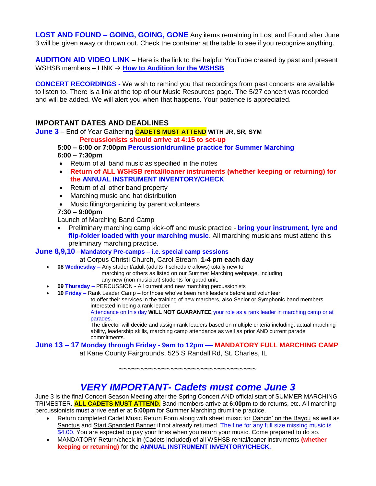**LOST AND FOUND – GOING, GOING, GONE** Any items remaining in Lost and Found after June 3 will be given away or thrown out. Check the container at the table to see if you recognize anything.

**AUDITION AID VIDEO LINK –** Here is the link to the helpful YouTube created by past and present WSHSB members – LINK → [How to Audition for the WSHSB](https://www.youtube.com/watch/3GLwboUAldw)

**CONCERT RECORDINGS -** We wish to remind you that recordings from past concerts are available to listen to. There is a link at the top of our Music Resources page. The 5/27 concert was recorded and will be added. We will alert you when that happens. Your patience is appreciated.

## **IMPORTANT DATES AND DEADLINES**

**June 3** – End of Year Gathering **CADETS MUST ATTEND WITH JR, SR, SYM**

**Percussionists should arrive at 4:15 to set-up**

#### **5:00 – 6:00 or 7:00pm Percussion/drumline practice for Summer Marching 6:00 – 7:30pm**

- Return of all band music as specified in the notes
- **Return of ALL WSHSB rental/loaner instruments (whether keeping or returning) for the ANNUAL INSTRUMENT INVENTORY/CHECK**
- Return of all other band property
- Marching music and hat distribution
- Music filing/organizing by parent volunteers

#### **7:30 – 9:00pm**

Launch of Marching Band Camp

• Preliminary marching camp kick-off and music practice - **bring your instrument, lyre and flip-folder loaded with your marching music**. All marching musicians must attend this preliminary marching practice.

#### **June 8,9,10** –**Mandatory Pre-camps – i.e. special camp sessions**

#### at Corpus Christi Church, Carol Stream; **1-4 pm each day**

**08 Wednesday –** Any student/adult (adults if schedule allows) totally new to

marching or others as listed on our Summer Marching webpage, including any new (non-musician) students for guard unit.

- **09 Thursday –** PERCUSSION All current and new marching percussionists
- **10 Friday –** Rank Leader Camp for those who've been rank leaders before and volunteer

to offer their services in the training of new marchers, also Senior or Symphonic band members interested in being a rank leader

Attendance on this day **WILL NOT GUARANTEE** your role as a rank leader in marching camp or at parades.

The director will decide and assign rank leaders based on multiple criteria including: actual marching ability, leadership skills, marching camp attendance as well as prior AND current parade commitments.

### **June 13 – 17 Monday through Friday - 9am to 12pm –– MANDATORY FULL MARCHING CAMP**

at Kane County Fairgrounds, 525 S Randall Rd, St. Charles, IL

**~~~~~~~~~~~~~~~~~~~~~~~~~~~~~~~~**

# *VERY IMPORTANT- Cadets must come June 3*

June 3 is the final Concert Season Meeting after the Spring Concert AND official start of SUMMER MARCHING TRIMESTER. **ALL CADETS MUST ATTEND.** Band members arrive at **6:00pm** to do returns, etc. All marching percussionists must arrive earlier at **5:00pm** for Summer Marching drumline practice.

- Return completed Cadet Music Return Form along with sheet music for Dancin' on the Bayou as well as Sanctus and Start Spangled Banner if not already returned. The fine for any full size missing music is \$4.00. You are expected to pay your fines when you return your music. Come prepared to do so.
- MANDATORY Return/check-in (Cadets included) of all WSHSB rental/loaner instruments **(whether keeping or returning)** for the **ANNUAL INSTRUMENT INVENTORY/CHECK.**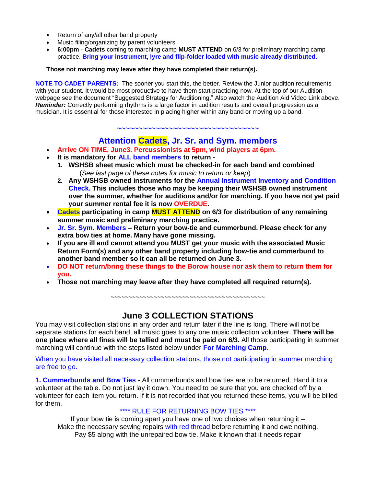- Return of any/all other band property
- Music filing/organizing by parent volunteers
- **6:00pm Cadets** coming to marching camp **MUST ATTEND** on 6/3 for preliminary marching camp practice. **Bring your instrument, lyre and flip-folder loaded with music already distributed.**

**Those not marching may leave after they have completed their return(s).**

**NOTE TO CADET PARENTS:** The sooner you start this, the better. Review the Junior audition requirements with your student. It would be most productive to have them start practicing now. At the top of our Audition webpage see the document "Suggested Strategy for Auditioning." Also watch the Audition Aid Video Link above. **Reminder:** Correctly performing rhythms is a large factor in audition results and overall progression as a musician. It is essential for those interested in placing higher within any band or moving up a band.

**~~~~~~~~~~~~~~~~~~~~~~~~~~~~~~~~~**

## **Attention Cadets, Jr. Sr. and Sym. members**

- **Arrive ON TIME, June3. Percussionists at 5pm, wind players at 6pm.**
- **It is mandatory for ALL band members to return -**
	- **1. WSHSB sheet music which must be checked-in for each band and combined** (*See last page of these notes for music to return or keep*)
	- **2. Any WSHSB owned instruments for the Annual Instrument Inventory and Condition Check. This includes those who may be keeping their WSHSB owned instrument over the summer, whether for auditions and/or for marching. If you have not yet paid your summer rental fee it is now OVERDUE.**
- **Cadets participating in camp MUST ATTEND on 6/3 for distribution of any remaining summer music and preliminary marching practice.**
- **Jr. Sr. Sym. Members – Return your bow-tie and cummerbund. Please check for any extra bow ties at home. Many have gone missing.**
- **If you are ill and cannot attend you MUST get your music with the associated Music Return Form(s) and any other band property including bow-tie and cummerbund to another band member so it can all be returned on June 3.**
- **DO NOT return/bring these things to the Borow house nor ask them to return them for you.**
- **Those not marching may leave after they have completed all required return(s).**

**~~~~~~~~~~~~~~~~~~~~~~~~~~~~~~~~~~~~~~~~~~~**

# **June 3 COLLECTION STATIONS**

You may visit collection stations in any order and return later if the line is long. There will not be separate stations for each band, all music goes to any one music collection volunteer. **There will be one place where all fines will be tallied and must be paid on 6/3.** All those participating in summer marching will continue with the steps listed below under **For Marching Camp**.

When you have visited all necessary collection stations, those not participating in summer marching are free to go.

**1. Cummerbunds and Bow Ties -** All cummerbunds and bow ties are to be returned. Hand it to a volunteer at the table. Do not just lay it down. You need to be sure that you are checked off by a volunteer for each item you return. If it is not recorded that you returned these items, you will be billed for them.

#### \*\*\*\* RULE FOR RETURNING BOW TIES \*\*\*\*

If your bow tie is coming apart you have one of two choices when returning it  $-$ Make the necessary sewing repairs with red thread before returning it and owe nothing. Pay \$5 along with the unrepaired bow tie. Make it known that it needs repair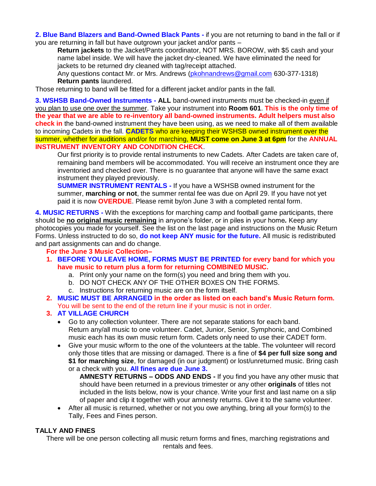**2. Blue Band Blazers and Band-Owned Black Pants -** if you are not returning to band in the fall or if you are returning in fall but have outgrown your jacket and/or pants –

**Return jackets** to the Jacket/Pants coordinator, NOT MRS. BOROW, with \$5 cash and your name label inside. We will have the jacket dry-cleaned. We have eliminated the need for jackets to be returned dry cleaned with tag/receipt attached.

Any questions contact Mr. or Mrs. Andrews [\(pkohnandrews@gmail.com](mailto:pkohnandrews@gmail.com) 630-377-1318) **Return pants** laundered.

Those returning to band will be fitted for a different jacket and/or pants in the fall.

**3. WSHSB Band-Owned Instruments - ALL** band-owned instruments must be checked-in even if you plan to use one over the summer. Take your instrument into **Room 601**. **This is the only time of the year that we are able to re-inventory all band-owned instruments. Adult helpers must also check in** the band-owned instrument they have been using, as we need to make all of them available to incoming Cadets in the fall. **CADETS** who are keeping their WSHSB owned instrument over the summer, whether for auditions and/or for marching, **MUST come on June 3 at 6pm** for the **ANNUAL INSTRUMENT INVENTORY AND CONDITION CHECK**.

Our first priority is to provide rental instruments to new Cadets*.* After Cadets are taken care of, remaining band members will be accommodated. You will receive an instrument once they are inventoried and checked over. There is no guarantee that anyone will have the same exact instrument they played previously.

**SUMMER INSTRUMENT RENTALS -** If you have a WSHSB owned instrument for the summer, **marching or not**, the summer rental fee was due on April 29. If you have not yet paid it is now **OVERDUE**. Please remit by/on June 3 with a completed rental form.

**4. MUSIC RETURNS -** With the exceptions for marching camp and football game participants, there should be **no original music remaining** in anyone's folder, or in piles in your home*.* Keep any photocopies you made for yourself. See the list on the last page and instructions on the Music Return Forms. Unless instructed to do so, **do not keep ANY music for the future.** All music is redistributed and part assignments can and do change.

#### **For the June 3 Music Collection–**

- **1. BEFORE YOU LEAVE HOME, FORMS MUST BE PRINTED for every band for which you have music to return plus a form for returning COMBINED MUSIC.**
	- a. Print only your name on the form(s) you need and bring them with you.
	- b. DO NOT CHECK ANY OF THE OTHER BOXES ON THE FORMS.
	- c. Instructions for returning music are on the form itself.
- **2. MUSIC MUST BE ARRANGED in the order as listed on each band's Music Return form.** You will be sent to the end of the return line if your music is not in order.

#### **3. AT VILLAGE CHURCH**

- Go to any collection volunteer. There are not separate stations for each band. Return any/all music to one volunteer. Cadet, Junior, Senior, Symphonic, and Combined music each has its own music return form. Cadets only need to use their CADET form.
- Give your music w/form to the one of the volunteers at the table. The volunteer will record only those titles that are missing or damaged. There is a fine of **\$4 per full size song and \$1 for marching size**, for damaged (in our judgment) or lost/unreturned music. Bring cash or a check with you. **All fines are due June 3.**

**AMNESTY RETURNS – ODDS AND ENDS -** If you find you have any other music that should have been returned in a previous trimester or any other **originals** of titles not included in the lists below, now is your chance. Write your first and last name on a slip of paper and clip it together with your amnesty returns. Give it to the same volunteer.

 After all music is returned, whether or not you owe anything, bring all your form(s) to the Tally, Fees and Fines person.

#### **TALLY AND FINES**

There will be one person collecting all music return forms and fines, marching registrations and rentals and fees.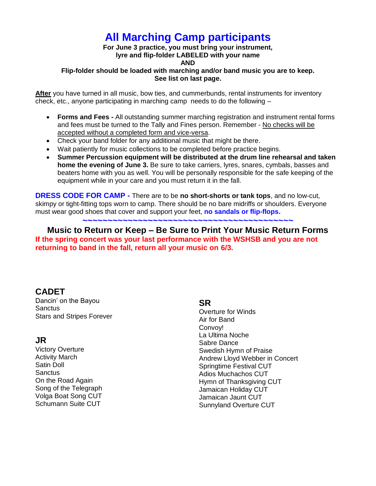# **All Marching Camp participants**

**For June 3 practice, you must bring your instrument, lyre and flip-folder LABELED with your name**

# **AND**

### **Flip-folder should be loaded with marching and/or band music you are to keep. See list on last page.**

**After** you have turned in all music, bow ties, and cummerbunds, rental instruments for inventory check, etc., anyone participating in marching camp needs to do the following –

- **Forms and Fees -** All outstanding summer marching registration and instrument rental forms and fees must be turned to the Tally and Fines person. Remember - No checks will be accepted without a completed form and vice-versa.
- Check your band folder for any additional music that might be there.
- Wait patiently for music collections to be completed before practice begins.
- **Summer Percussion equipment will be distributed at the drum line rehearsal and taken home the evening of June 3.** Be sure to take carriers, lyres, snares, cymbals, basses and beaters home with you as well. You will be personally responsible for the safe keeping of the equipment while in your care and you must return it in the fall.

**DRESS CODE FOR CAMP -** There are to be **no short-shorts or tank tops**, and no low-cut, skimpy or tight-fitting tops worn to camp. There should be no bare midriffs or shoulders. Everyone must wear good shoes that cover and support your feet, **no sandals or flip-flops.**

**~~~~~~~~~~~~~~~~~~~~~~~~~~~~~~~~~~~~~~~~~~**

## **Music to Return or Keep – Be Sure to Print Your Music Return Forms If the spring concert was your last performance with the WSHSB and you are not returning to band in the fall, return all your music on 6/3.**

# **CADET**

Dancin' on the Bayou **Sanctus** Stars and Stripes Forever

# **JR**

Victory Overture Activity March Satin Doll **Sanctus** On the Road Again Song of the Telegraph Volga Boat Song CUT Schumann Suite CUT

## **SR**

Overture for Winds Air for Band Convoy! La Ultima Noche Sabre Dance Swedish Hymn of Praise Andrew Lloyd Webber in Concert Springtime Festival CUT Adios Muchachos CUT Hymn of Thanksgiving CUT Jamaican Holiday CUT Jamaican Jaunt CUT Sunnyland Overture CUT